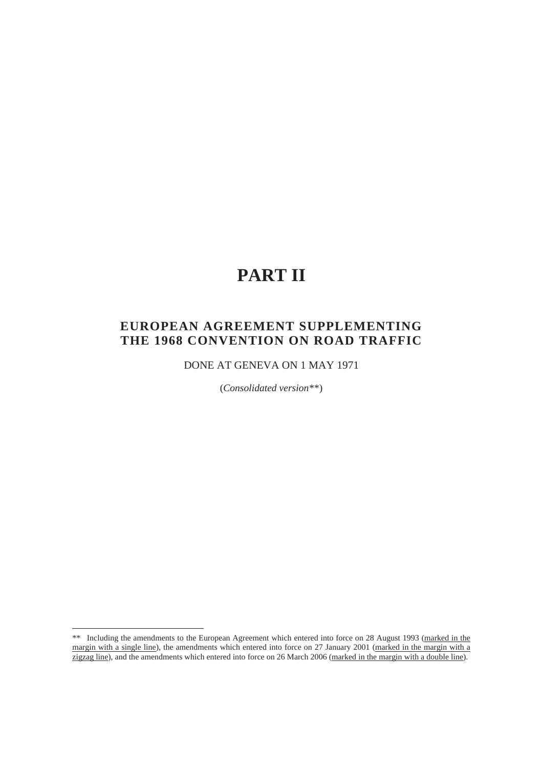# **PART II**

# <span id="page-0-0"></span>**EUROPEAN AGREEMENT SUPPLEMENTING THE 1968 CONVENTION ON ROAD TRAFFIC**

DONE AT GENEVA ON 1 MAY 1971

(*Consolidated version*[\\*\\*](#page-0-0))

 $\overline{a}$ 

<sup>\*\*</sup>Including the amendments to the European Agreement which entered into force on 28 August 1993 (marked in the margin with a single line), the amendments which entered into force on 27 January 2001 (marked in the margin with a zigzag line), and the amendments which entered into force on 26 March 2006 (marked in the margin with a double line).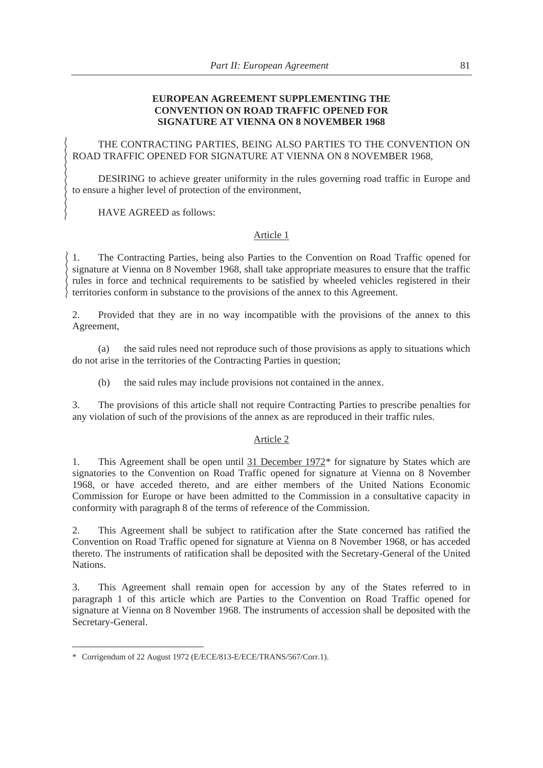# **EUROPEAN AGREEMENT SUPPLEMENTING THE CONVENTION ON ROAD TRAFFIC OPENED FOR SIGNATURE AT VIENNA ON 8 NOVEMBER 1968**

<span id="page-2-0"></span> THE CONTRACTING PARTIES, BEING ALSO PARTIES TO THE CONVENTION ON ROAD TRAFFIC OPENED FOR SIGNATURE AT VIENNA ON 8 NOVEMBER 1968,

 DESIRING to achieve greater uniformity in the rules governing road traffic in Europe and to ensure a higher level of protection of the environment,

HAVE AGREED as follows:

# Article 1

1. The Contracting Parties, being also Parties to the Convention on Road Traffic opened for signature at Vienna on 8 November 1968, shall take appropriate measures to ensure that the traffic rules in force and technical requirements to be satisfied by wheeled vehicles registered in their territories conform in substance to the provisions of the annex to this Agreement.

2. Provided that they are in no way incompatible with the provisions of the annex to this Agreement,

 (a) the said rules need not reproduce such of those provisions as apply to situations which do not arise in the territories of the Contracting Parties in question;

(b) the said rules may include provisions not contained in the annex.

3. The provisions of this article shall not require Contracting Parties to prescribe penalties for any violation of such of the provisions of the annex as are reproduced in their traffic rules.

# Article 2

1. This Agreement shall be open until 31 December 1972<sup>\*</sup> for signature by States which are signatories to the Convention on Road Traffic opened for signature at Vienna on 8 November 1968, or have acceded thereto, and are either members of the United Nations Economic Commission for Europe or have been admitted to the Commission in a consultative capacity in conformity with paragraph 8 of the terms of reference of the Commission.

2. This Agreement shall be subject to ratification after the State concerned has ratified the Convention on Road Traffic opened for signature at Vienna on 8 November 1968, or has acceded thereto. The instruments of ratification shall be deposited with the Secretary-General of the United Nations.

3. This Agreement shall remain open for accession by any of the States referred to in paragraph 1 of this article which are Parties to the Convention on Road Traffic opened for signature at Vienna on 8 November 1968. The instruments of accession shall be deposited with the Secretary-General.

 $\overline{a}$ \* Corrigendum of 22 August 1972 (E/ECE/813-E/ECE/TRANS/567/Corr.1).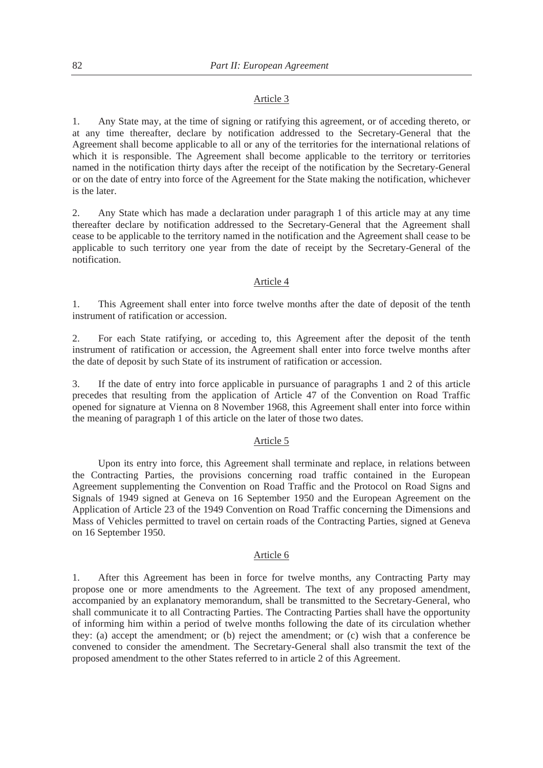# Article 3

1. Any State may, at the time of signing or ratifying this agreement, or of acceding thereto, or at any time thereafter, declare by notification addressed to the Secretary-General that the Agreement shall become applicable to all or any of the territories for the international relations of which it is responsible. The Agreement shall become applicable to the territory or territories named in the notification thirty days after the receipt of the notification by the Secretary-General or on the date of entry into force of the Agreement for the State making the notification, whichever is the later.

2. Any State which has made a declaration under paragraph 1 of this article may at any time thereafter declare by notification addressed to the Secretary-General that the Agreement shall cease to be applicable to the territory named in the notification and the Agreement shall cease to be applicable to such territory one year from the date of receipt by the Secretary-General of the notification.

# Article 4

1. This Agreement shall enter into force twelve months after the date of deposit of the tenth instrument of ratification or accession.

2. For each State ratifying, or acceding to, this Agreement after the deposit of the tenth instrument of ratification or accession, the Agreement shall enter into force twelve months after the date of deposit by such State of its instrument of ratification or accession.

3. If the date of entry into force applicable in pursuance of paragraphs 1 and 2 of this article precedes that resulting from the application of Article 47 of the Convention on Road Traffic opened for signature at Vienna on 8 November 1968, this Agreement shall enter into force within the meaning of paragraph 1 of this article on the later of those two dates.

# Article 5

 Upon its entry into force, this Agreement shall terminate and replace, in relations between the Contracting Parties, the provisions concerning road traffic contained in the European Agreement supplementing the Convention on Road Traffic and the Protocol on Road Signs and Signals of 1949 signed at Geneva on 16 September 1950 and the European Agreement on the Application of Article 23 of the 1949 Convention on Road Traffic concerning the Dimensions and Mass of Vehicles permitted to travel on certain roads of the Contracting Parties, signed at Geneva on 16 September 1950.

# Article 6

1. After this Agreement has been in force for twelve months, any Contracting Party may propose one or more amendments to the Agreement. The text of any proposed amendment, accompanied by an explanatory memorandum, shall be transmitted to the Secretary-General, who shall communicate it to all Contracting Parties. The Contracting Parties shall have the opportunity of informing him within a period of twelve months following the date of its circulation whether they: (a) accept the amendment; or (b) reject the amendment; or (c) wish that a conference be convened to consider the amendment. The Secretary-General shall also transmit the text of the proposed amendment to the other States referred to in article 2 of this Agreement.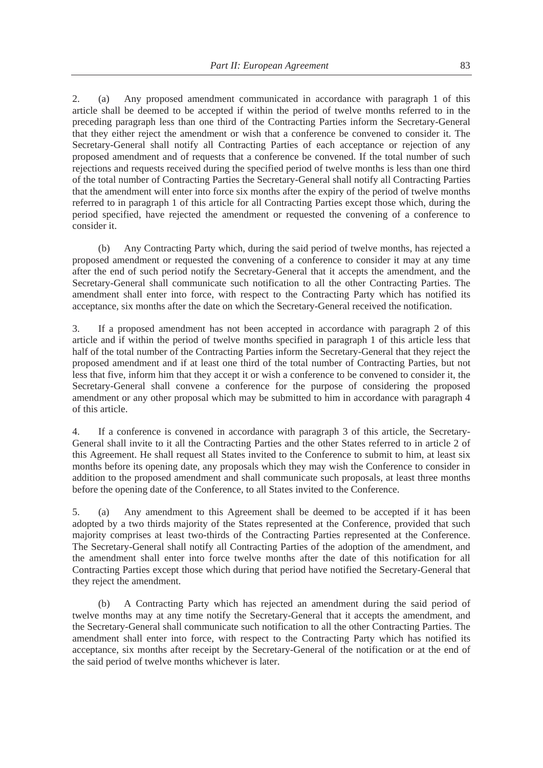2. (a) Any proposed amendment communicated in accordance with paragraph 1 of this article shall be deemed to be accepted if within the period of twelve months referred to in the preceding paragraph less than one third of the Contracting Parties inform the Secretary-General that they either reject the amendment or wish that a conference be convened to consider it. The Secretary-General shall notify all Contracting Parties of each acceptance or rejection of any proposed amendment and of requests that a conference be convened. If the total number of such rejections and requests received during the specified period of twelve months is less than one third of the total number of Contracting Parties the Secretary-General shall notify all Contracting Parties that the amendment will enter into force six months after the expiry of the period of twelve months referred to in paragraph 1 of this article for all Contracting Parties except those which, during the period specified, have rejected the amendment or requested the convening of a conference to consider it.

 (b) Any Contracting Party which, during the said period of twelve months, has rejected a proposed amendment or requested the convening of a conference to consider it may at any time after the end of such period notify the Secretary-General that it accepts the amendment, and the Secretary-General shall communicate such notification to all the other Contracting Parties. The amendment shall enter into force, with respect to the Contracting Party which has notified its acceptance, six months after the date on which the Secretary-General received the notification.

3. If a proposed amendment has not been accepted in accordance with paragraph 2 of this article and if within the period of twelve months specified in paragraph 1 of this article less that half of the total number of the Contracting Parties inform the Secretary-General that they reject the proposed amendment and if at least one third of the total number of Contracting Parties, but not less that five, inform him that they accept it or wish a conference to be convened to consider it, the Secretary-General shall convene a conference for the purpose of considering the proposed amendment or any other proposal which may be submitted to him in accordance with paragraph 4 of this article.

4. If a conference is convened in accordance with paragraph 3 of this article, the Secretary-General shall invite to it all the Contracting Parties and the other States referred to in article 2 of this Agreement. He shall request all States invited to the Conference to submit to him, at least six months before its opening date, any proposals which they may wish the Conference to consider in addition to the proposed amendment and shall communicate such proposals, at least three months before the opening date of the Conference, to all States invited to the Conference.

5. (a) Any amendment to this Agreement shall be deemed to be accepted if it has been adopted by a two thirds majority of the States represented at the Conference, provided that such majority comprises at least two-thirds of the Contracting Parties represented at the Conference. The Secretary-General shall notify all Contracting Parties of the adoption of the amendment, and the amendment shall enter into force twelve months after the date of this notification for all Contracting Parties except those which during that period have notified the Secretary-General that they reject the amendment.

 (b) A Contracting Party which has rejected an amendment during the said period of twelve months may at any time notify the Secretary-General that it accepts the amendment, and the Secretary-General shall communicate such notification to all the other Contracting Parties. The amendment shall enter into force, with respect to the Contracting Party which has notified its acceptance, six months after receipt by the Secretary-General of the notification or at the end of the said period of twelve months whichever is later.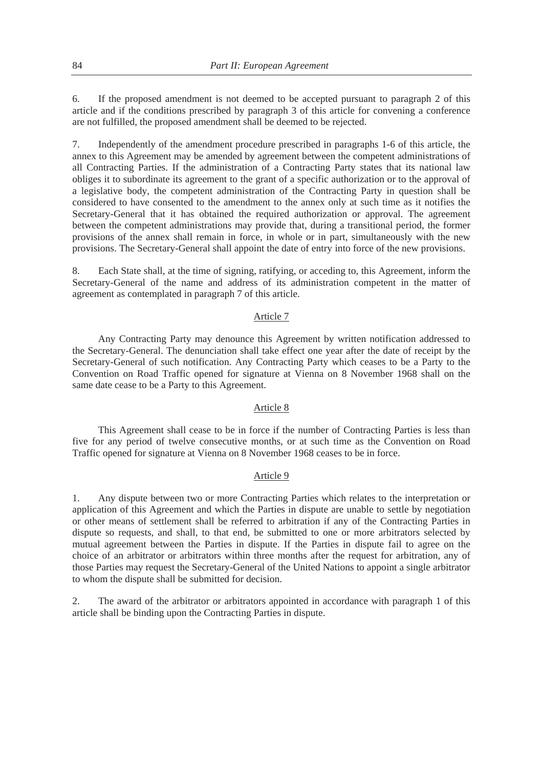6. If the proposed amendment is not deemed to be accepted pursuant to paragraph 2 of this article and if the conditions prescribed by paragraph 3 of this article for convening a conference are not fulfilled, the proposed amendment shall be deemed to be rejected.

7. Independently of the amendment procedure prescribed in paragraphs 1-6 of this article, the annex to this Agreement may be amended by agreement between the competent administrations of all Contracting Parties. If the administration of a Contracting Party states that its national law obliges it to subordinate its agreement to the grant of a specific authorization or to the approval of a legislative body, the competent administration of the Contracting Party in question shall be considered to have consented to the amendment to the annex only at such time as it notifies the Secretary-General that it has obtained the required authorization or approval. The agreement between the competent administrations may provide that, during a transitional period, the former provisions of the annex shall remain in force, in whole or in part, simultaneously with the new provisions. The Secretary-General shall appoint the date of entry into force of the new provisions.

8. Each State shall, at the time of signing, ratifying, or acceding to, this Agreement, inform the Secretary-General of the name and address of its administration competent in the matter of agreement as contemplated in paragraph 7 of this article.

# Article 7

 Any Contracting Party may denounce this Agreement by written notification addressed to the Secretary-General. The denunciation shall take effect one year after the date of receipt by the Secretary-General of such notification. Any Contracting Party which ceases to be a Party to the Convention on Road Traffic opened for signature at Vienna on 8 November 1968 shall on the same date cease to be a Party to this Agreement.

# Article 8

 This Agreement shall cease to be in force if the number of Contracting Parties is less than five for any period of twelve consecutive months, or at such time as the Convention on Road Traffic opened for signature at Vienna on 8 November 1968 ceases to be in force.

#### Article 9

1. Any dispute between two or more Contracting Parties which relates to the interpretation or application of this Agreement and which the Parties in dispute are unable to settle by negotiation or other means of settlement shall be referred to arbitration if any of the Contracting Parties in dispute so requests, and shall, to that end, be submitted to one or more arbitrators selected by mutual agreement between the Parties in dispute. If the Parties in dispute fail to agree on the choice of an arbitrator or arbitrators within three months after the request for arbitration, any of those Parties may request the Secretary-General of the United Nations to appoint a single arbitrator to whom the dispute shall be submitted for decision.

2. The award of the arbitrator or arbitrators appointed in accordance with paragraph 1 of this article shall be binding upon the Contracting Parties in dispute.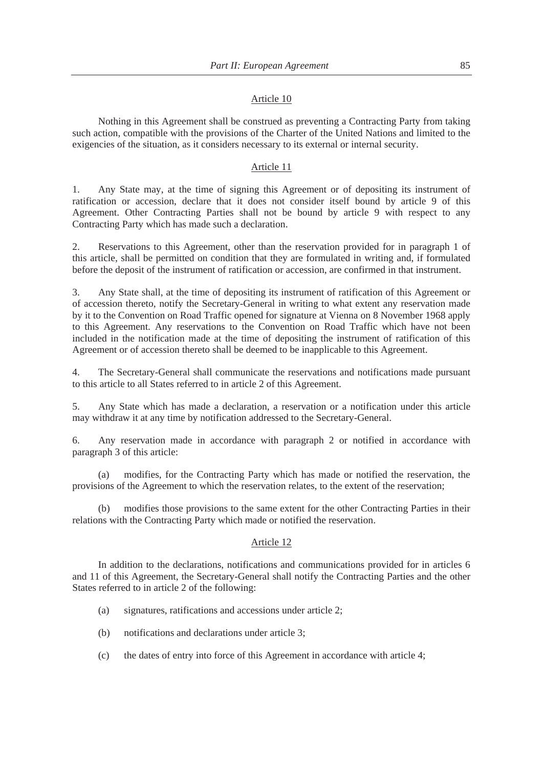# Article 10

 Nothing in this Agreement shall be construed as preventing a Contracting Party from taking such action, compatible with the provisions of the Charter of the United Nations and limited to the exigencies of the situation, as it considers necessary to its external or internal security.

# Article 11

1. Any State may, at the time of signing this Agreement or of depositing its instrument of ratification or accession, declare that it does not consider itself bound by article 9 of this Agreement. Other Contracting Parties shall not be bound by article 9 with respect to any Contracting Party which has made such a declaration.

2. Reservations to this Agreement, other than the reservation provided for in paragraph 1 of this article, shall be permitted on condition that they are formulated in writing and, if formulated before the deposit of the instrument of ratification or accession, are confirmed in that instrument.

3. Any State shall, at the time of depositing its instrument of ratification of this Agreement or of accession thereto, notify the Secretary-General in writing to what extent any reservation made by it to the Convention on Road Traffic opened for signature at Vienna on 8 November 1968 apply to this Agreement. Any reservations to the Convention on Road Traffic which have not been included in the notification made at the time of depositing the instrument of ratification of this Agreement or of accession thereto shall be deemed to be inapplicable to this Agreement.

4. The Secretary-General shall communicate the reservations and notifications made pursuant to this article to all States referred to in article 2 of this Agreement.

5. Any State which has made a declaration, a reservation or a notification under this article may withdraw it at any time by notification addressed to the Secretary-General.

6. Any reservation made in accordance with paragraph 2 or notified in accordance with paragraph 3 of this article:

 (a) modifies, for the Contracting Party which has made or notified the reservation, the provisions of the Agreement to which the reservation relates, to the extent of the reservation;

modifies those provisions to the same extent for the other Contracting Parties in their relations with the Contracting Party which made or notified the reservation.

# Article 12

 In addition to the declarations, notifications and communications provided for in articles 6 and 11 of this Agreement, the Secretary-General shall notify the Contracting Parties and the other States referred to in article 2 of the following:

- (a) signatures, ratifications and accessions under article 2;
- (b) notifications and declarations under article 3;
- (c) the dates of entry into force of this Agreement in accordance with article 4;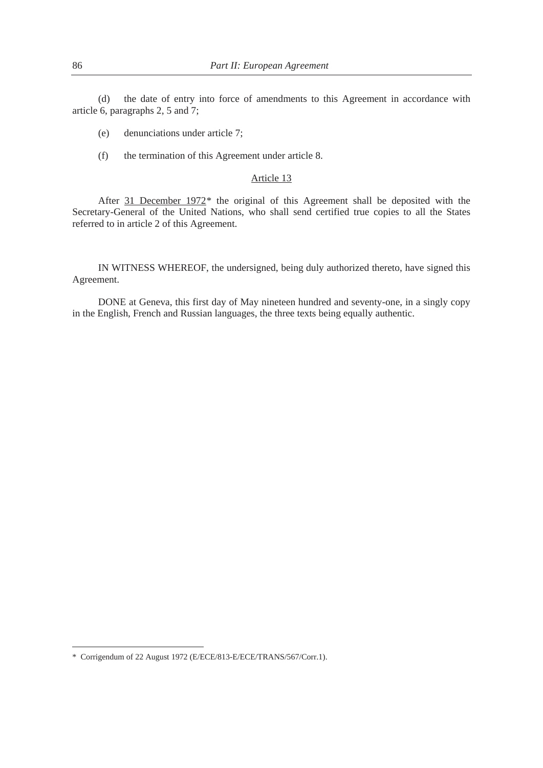<span id="page-7-0"></span> (d) the date of entry into force of amendments to this Agreement in accordance with article 6, paragraphs 2, 5 and 7;

- (e) denunciations under article 7;
- (f) the termination of this Agreement under article 8.

# Article 13

After 31 December 1972<sup>[\\*](#page-7-0)</sup> the original of this Agreement shall be deposited with the Secretary-General of the United Nations, who shall send certified true copies to all the States referred to in article 2 of this Agreement.

 IN WITNESS WHEREOF, the undersigned, being duly authorized thereto, have signed this Agreement.

 DONE at Geneva, this first day of May nineteen hundred and seventy-one, in a singly copy in the English, French and Russian languages, the three texts being equally authentic.

 $\overline{a}$ 

<sup>\*</sup>Corrigendum of 22 August 1972 (E/ECE/813-E/ECE/TRANS/567/Corr.1).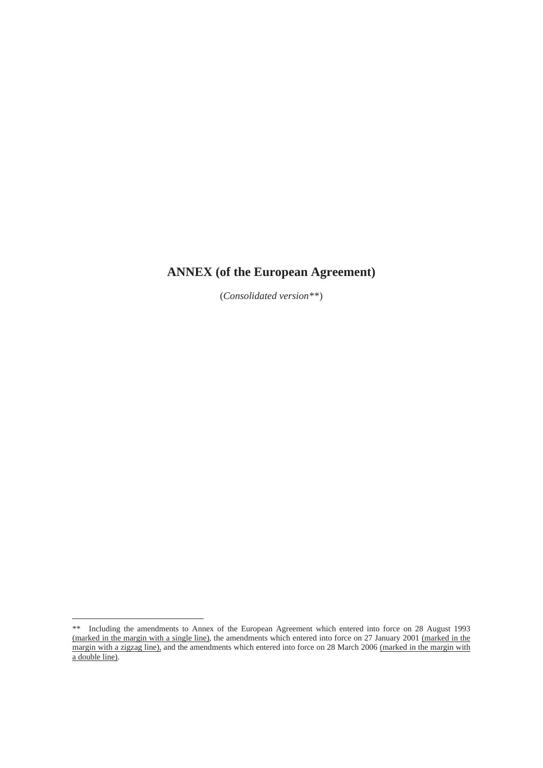# <span id="page-8-0"></span>**ANNEX (of the European Agreement)**

(*Consolidated version*[\\*\\*](#page-8-0))

 $\overline{a}$ 

<sup>\*\*</sup>Including the amendments to Annex of the European Agreement which entered into force on 28 August 1993 (marked in the margin with a single line), the amendments which entered into force on 27 January 2001 (marked in the margin with a zigzag line), and the amendments which entered into force on 28 March 2006 (marked in the margin with a double line).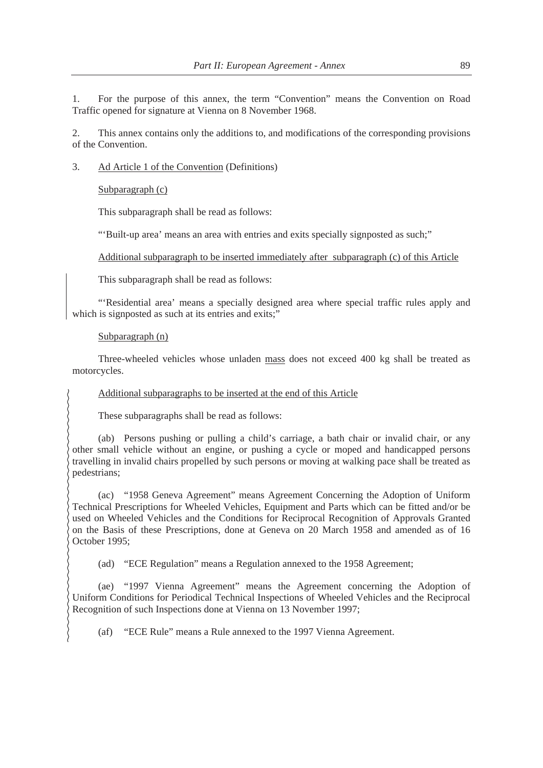1. For the purpose of this annex, the term "Convention" means the Convention on Road Traffic opened for signature at Vienna on 8 November 1968.

2. This annex contains only the additions to, and modifications of the corresponding provisions of the Convention.

3. Ad Article 1 of the Convention (Definitions)

Subparagraph (c)

This subparagraph shall be read as follows:

"'Built-up area' means an area with entries and exits specially signposted as such;"

Additional subparagraph to be inserted immediately after subparagraph (c) of this Article

This subparagraph shall be read as follows:

 "'Residential area' means a specially designed area where special traffic rules apply and which is signposted as such at its entries and exits;"

# Subparagraph (n)

 Three-wheeled vehicles whose unladen mass does not exceed 400 kg shall be treated as motorcycles.

# Additional subparagraphs to be inserted at the end of this Article

These subparagraphs shall be read as follows:

 (ab) Persons pushing or pulling a child's carriage, a bath chair or invalid chair, or any other small vehicle without an engine, or pushing a cycle or moped and handicapped persons travelling in invalid chairs propelled by such persons or moving at walking pace shall be treated as pedestrians;

 (ac) "1958 Geneva Agreement" means Agreement Concerning the Adoption of Uniform Technical Prescriptions for Wheeled Vehicles, Equipment and Parts which can be fitted and/or be used on Wheeled Vehicles and the Conditions for Reciprocal Recognition of Approvals Granted on the Basis of these Prescriptions, done at Geneva on 20 March 1958 and amended as of 16 October 1995;

(ad) "ECE Regulation" means a Regulation annexed to the 1958 Agreement;

 (ae) "1997 Vienna Agreement" means the Agreement concerning the Adoption of Uniform Conditions for Periodical Technical Inspections of Wheeled Vehicles and the Reciprocal Recognition of such Inspections done at Vienna on 13 November 1997;

(af) "ECE Rule" means a Rule annexed to the 1997 Vienna Agreement.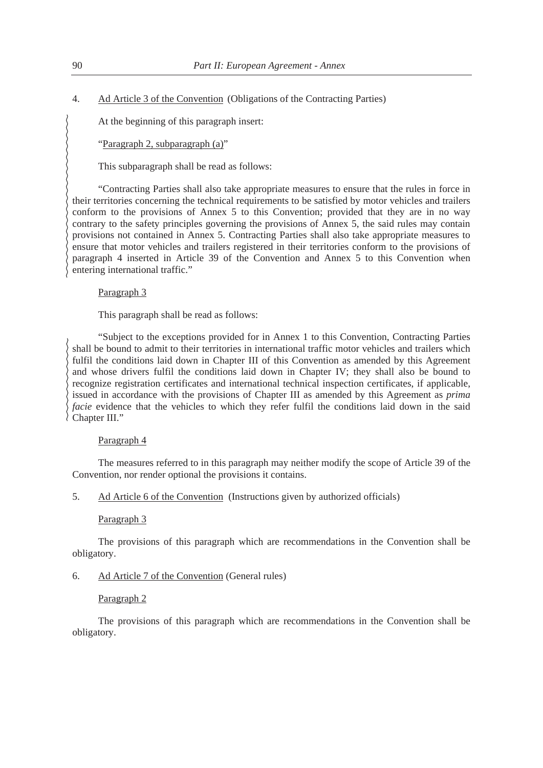4. Ad Article 3 of the Convention (Obligations of the Contracting Parties)

At the beginning of this paragraph insert:

"Paragraph 2, subparagraph (a)"

This subparagraph shall be read as follows:

 "Contracting Parties shall also take appropriate measures to ensure that the rules in force in their territories concerning the technical requirements to be satisfied by motor vehicles and trailers conform to the provisions of Annex 5 to this Convention; provided that they are in no way contrary to the safety principles governing the provisions of Annex 5, the said rules may contain provisions not contained in Annex 5. Contracting Parties shall also take appropriate measures to ensure that motor vehicles and trailers registered in their territories conform to the provisions of paragraph 4 inserted in Article 39 of the Convention and Annex 5 to this Convention when entering international traffic."

# Paragraph 3

This paragraph shall be read as follows:

 "Subject to the exceptions provided for in Annex 1 to this Convention, Contracting Parties shall be bound to admit to their territories in international traffic motor vehicles and trailers which fulfil the conditions laid down in Chapter III of this Convention as amended by this Agreement and whose drivers fulfil the conditions laid down in Chapter IV; they shall also be bound to recognize registration certificates and international technical inspection certificates, if applicable, issued in accordance with the provisions of Chapter III as amended by this Agreement as *prima facie* evidence that the vehicles to which they refer fulfil the conditions laid down in the said Chapter III."

# Paragraph 4

 The measures referred to in this paragraph may neither modify the scope of Article 39 of the Convention, nor render optional the provisions it contains.

5. Ad Article 6 of the Convention (Instructions given by authorized officials)

# Paragraph 3

 The provisions of this paragraph which are recommendations in the Convention shall be obligatory.

6. Ad Article 7 of the Convention (General rules)

# Paragraph 2

 The provisions of this paragraph which are recommendations in the Convention shall be obligatory.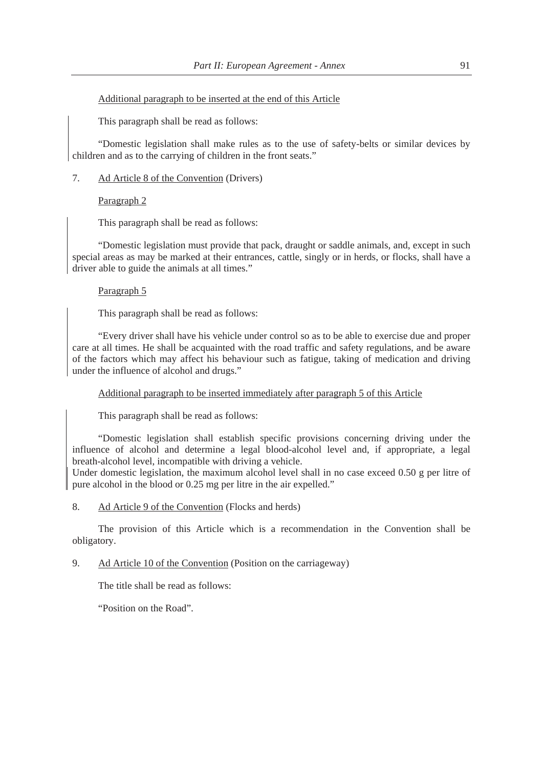Additional paragraph to be inserted at the end of this Article

This paragraph shall be read as follows:

"Domestic legislation shall make rules as to the use of safety-belts or similar devices by children and as to the carrying of children in the front seats."

# 7. Ad Article 8 of the Convention (Drivers)

# Paragraph 2

This paragraph shall be read as follows:

"Domestic legislation must provide that pack, draught or saddle animals, and, except in such special areas as may be marked at their entrances, cattle, singly or in herds, or flocks, shall have a driver able to guide the animals at all times."

# Paragraph 5

This paragraph shall be read as follows:

 "Every driver shall have his vehicle under control so as to be able to exercise due and proper care at all times. He shall be acquainted with the road traffic and safety regulations, and be aware of the factors which may affect his behaviour such as fatigue, taking of medication and driving under the influence of alcohol and drugs."

Additional paragraph to be inserted immediately after paragraph 5 of this Article

This paragraph shall be read as follows:

 "Domestic legislation shall establish specific provisions concerning driving under the influence of alcohol and determine a legal blood-alcohol level and, if appropriate, a legal breath-alcohol level, incompatible with driving a vehicle.

Under domestic legislation, the maximum alcohol level shall in no case exceed 0.50 g per litre of pure alcohol in the blood or 0.25 mg per litre in the air expelled."

8. Ad Article 9 of the Convention (Flocks and herds)

The provision of this Article which is a recommendation in the Convention shall be obligatory.

9. Ad Article 10 of the Convention (Position on the carriageway)

The title shall be read as follows:

"Position on the Road".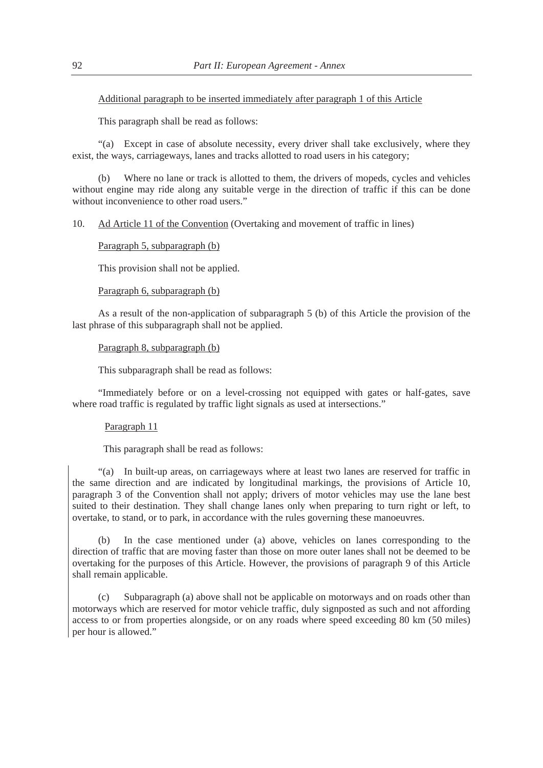Additional paragraph to be inserted immediately after paragraph 1 of this Article

This paragraph shall be read as follows:

"(a) Except in case of absolute necessity, every driver shall take exclusively, where they exist, the ways, carriageways, lanes and tracks allotted to road users in his category;

(b) Where no lane or track is allotted to them, the drivers of mopeds, cycles and vehicles without engine may ride along any suitable verge in the direction of traffic if this can be done without inconvenience to other road users."

10. Ad Article 11 of the Convention (Overtaking and movement of traffic in lines)

Paragraph 5, subparagraph (b)

This provision shall not be applied.

Paragraph 6, subparagraph (b)

As a result of the non-application of subparagraph 5 (b) of this Article the provision of the last phrase of this subparagraph shall not be applied.

Paragraph 8, subparagraph (b)

This subparagraph shall be read as follows:

"Immediately before or on a level-crossing not equipped with gates or half-gates, save where road traffic is regulated by traffic light signals as used at intersections."

#### Paragraph 11

This paragraph shall be read as follows:

"(a) In built-up areas, on carriageways where at least two lanes are reserved for traffic in the same direction and are indicated by longitudinal markings, the provisions of Article 10, paragraph 3 of the Convention shall not apply; drivers of motor vehicles may use the lane best suited to their destination. They shall change lanes only when preparing to turn right or left, to overtake, to stand, or to park, in accordance with the rules governing these manoeuvres.

(b) In the case mentioned under (a) above, vehicles on lanes corresponding to the direction of traffic that are moving faster than those on more outer lanes shall not be deemed to be overtaking for the purposes of this Article. However, the provisions of paragraph 9 of this Article shall remain applicable.

(c) Subparagraph (a) above shall not be applicable on motorways and on roads other than motorways which are reserved for motor vehicle traffic, duly signposted as such and not affording access to or from properties alongside, or on any roads where speed exceeding 80 km (50 miles) per hour is allowed."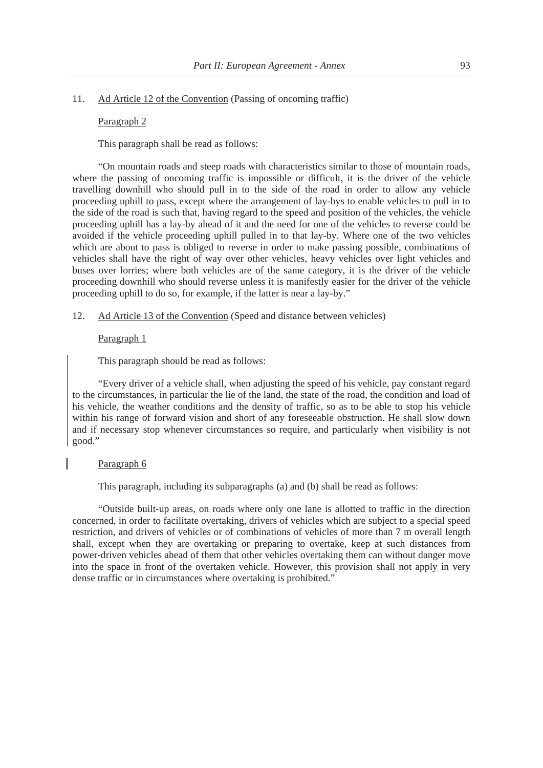# 11. Ad Article 12 of the Convention (Passing of oncoming traffic)

#### Paragraph 2

This paragraph shall be read as follows:

 "On mountain roads and steep roads with characteristics similar to those of mountain roads, where the passing of oncoming traffic is impossible or difficult, it is the driver of the vehicle travelling downhill who should pull in to the side of the road in order to allow any vehicle proceeding uphill to pass, except where the arrangement of lay-bys to enable vehicles to pull in to the side of the road is such that, having regard to the speed and position of the vehicles, the vehicle proceeding uphill has a lay-by ahead of it and the need for one of the vehicles to reverse could be avoided if the vehicle proceeding uphill pulled in to that lay-by. Where one of the two vehicles which are about to pass is obliged to reverse in order to make passing possible, combinations of vehicles shall have the right of way over other vehicles, heavy vehicles over light vehicles and buses over lorries; where both vehicles are of the same category, it is the driver of the vehicle proceeding downhill who should reverse unless it is manifestly easier for the driver of the vehicle proceeding uphill to do so, for example, if the latter is near a lay-by."

# 12. Ad Article 13 of the Convention (Speed and distance between vehicles)

# Paragraph 1

This paragraph should be read as follows:

"Every driver of a vehicle shall, when adjusting the speed of his vehicle, pay constant regard to the circumstances, in particular the lie of the land, the state of the road, the condition and load of his vehicle, the weather conditions and the density of traffic, so as to be able to stop his vehicle within his range of forward vision and short of any foreseeable obstruction. He shall slow down and if necessary stop whenever circumstances so require, and particularly when visibility is not good."

#### Paragraph 6

This paragraph, including its subparagraphs (a) and (b) shall be read as follows:

"Outside built-up areas, on roads where only one lane is allotted to traffic in the direction concerned, in order to facilitate overtaking, drivers of vehicles which are subject to a special speed restriction, and drivers of vehicles or of combinations of vehicles of more than 7 m overall length shall, except when they are overtaking or preparing to overtake, keep at such distances from power-driven vehicles ahead of them that other vehicles overtaking them can without danger move into the space in front of the overtaken vehicle. However, this provision shall not apply in very dense traffic or in circumstances where overtaking is prohibited."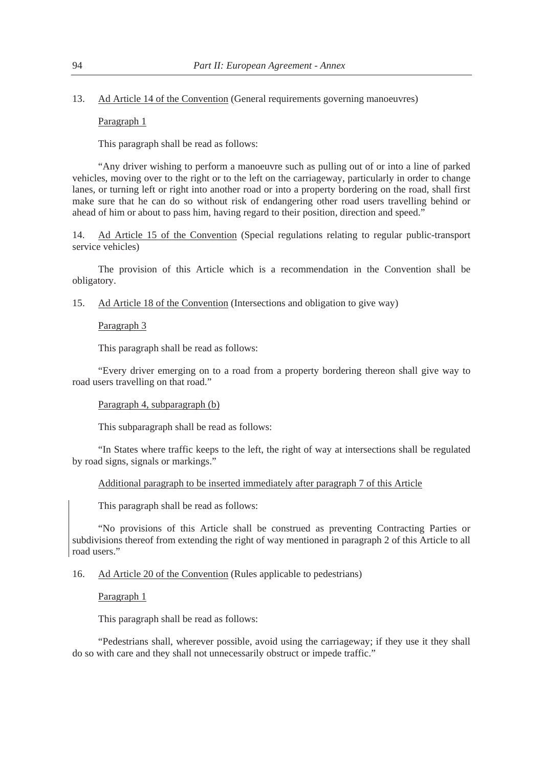13. Ad Article 14 of the Convention (General requirements governing manoeuvres)

Paragraph 1

This paragraph shall be read as follows:

"Any driver wishing to perform a manoeuvre such as pulling out of or into a line of parked vehicles, moving over to the right or to the left on the carriageway, particularly in order to change lanes, or turning left or right into another road or into a property bordering on the road, shall first make sure that he can do so without risk of endangering other road users travelling behind or ahead of him or about to pass him, having regard to their position, direction and speed."

14. Ad Article 15 of the Convention (Special regulations relating to regular public-transport service vehicles)

The provision of this Article which is a recommendation in the Convention shall be obligatory.

15. Ad Article 18 of the Convention (Intersections and obligation to give way)

# Paragraph 3

This paragraph shall be read as follows:

"Every driver emerging on to a road from a property bordering thereon shall give way to road users travelling on that road."

# Paragraph 4, subparagraph (b)

This subparagraph shall be read as follows:

"In States where traffic keeps to the left, the right of way at intersections shall be regulated by road signs, signals or markings."

Additional paragraph to be inserted immediately after paragraph 7 of this Article

This paragraph shall be read as follows:

"No provisions of this Article shall be construed as preventing Contracting Parties or subdivisions thereof from extending the right of way mentioned in paragraph 2 of this Article to all road users."

16. Ad Article 20 of the Convention (Rules applicable to pedestrians)

# Paragraph 1

This paragraph shall be read as follows:

"Pedestrians shall, wherever possible, avoid using the carriageway; if they use it they shall do so with care and they shall not unnecessarily obstruct or impede traffic."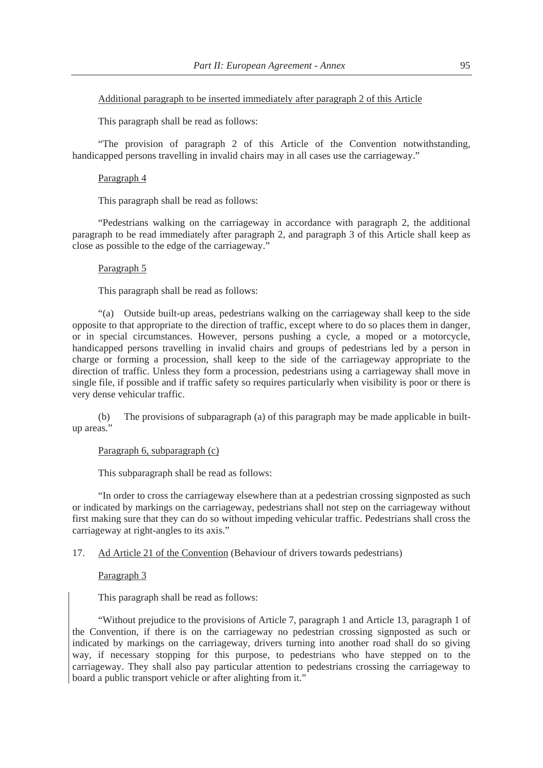Additional paragraph to be inserted immediately after paragraph 2 of this Article

This paragraph shall be read as follows:

"The provision of paragraph 2 of this Article of the Convention notwithstanding, handicapped persons travelling in invalid chairs may in all cases use the carriageway."

#### Paragraph 4

This paragraph shall be read as follows:

 "Pedestrians walking on the carriageway in accordance with paragraph 2, the additional paragraph to be read immediately after paragraph 2, and paragraph 3 of this Article shall keep as close as possible to the edge of the carriageway."

#### Paragraph 5

This paragraph shall be read as follows:

 "(a) Outside built-up areas, pedestrians walking on the carriageway shall keep to the side opposite to that appropriate to the direction of traffic, except where to do so places them in danger, or in special circumstances. However, persons pushing a cycle, a moped or a motorcycle, handicapped persons travelling in invalid chairs and groups of pedestrians led by a person in charge or forming a procession, shall keep to the side of the carriageway appropriate to the direction of traffic. Unless they form a procession, pedestrians using a carriageway shall move in single file, if possible and if traffic safety so requires particularly when visibility is poor or there is very dense vehicular traffic.

 (b) The provisions of subparagraph (a) of this paragraph may be made applicable in builtup areas."

#### Paragraph 6, subparagraph (c)

This subparagraph shall be read as follows:

 "In order to cross the carriageway elsewhere than at a pedestrian crossing signposted as such or indicated by markings on the carriageway, pedestrians shall not step on the carriageway without first making sure that they can do so without impeding vehicular traffic. Pedestrians shall cross the carriageway at right-angles to its axis."

#### 17. Ad Article 21 of the Convention (Behaviour of drivers towards pedestrians)

Paragraph 3

This paragraph shall be read as follows:

 "Without prejudice to the provisions of Article 7, paragraph 1 and Article 13, paragraph 1 of the Convention, if there is on the carriageway no pedestrian crossing signposted as such or indicated by markings on the carriageway, drivers turning into another road shall do so giving way, if necessary stopping for this purpose, to pedestrians who have stepped on to the carriageway. They shall also pay particular attention to pedestrians crossing the carriageway to board a public transport vehicle or after alighting from it."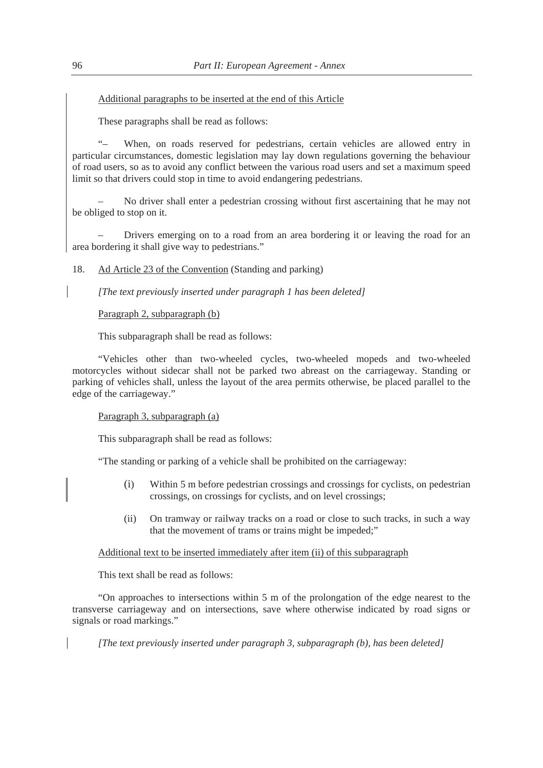Additional paragraphs to be inserted at the end of this Article

These paragraphs shall be read as follows:

When, on roads reserved for pedestrians, certain vehicles are allowed entry in particular circumstances, domestic legislation may lay down regulations governing the behaviour of road users, so as to avoid any conflict between the various road users and set a maximum speed limit so that drivers could stop in time to avoid endangering pedestrians.

 – No driver shall enter a pedestrian crossing without first ascertaining that he may not be obliged to stop on it.

 – Drivers emerging on to a road from an area bordering it or leaving the road for an area bordering it shall give way to pedestrians."

18. Ad Article 23 of the Convention (Standing and parking)

 *[The text previously inserted under paragraph 1 has been deleted]* 

Paragraph 2, subparagraph (b)

This subparagraph shall be read as follows:

 "Vehicles other than two-wheeled cycles, two-wheeled mopeds and two-wheeled motorcycles without sidecar shall not be parked two abreast on the carriageway. Standing or parking of vehicles shall, unless the layout of the area permits otherwise, be placed parallel to the edge of the carriageway."

# Paragraph 3, subparagraph (a)

This subparagraph shall be read as follows:

"The standing or parking of a vehicle shall be prohibited on the carriageway:

- (i) Within 5 m before pedestrian crossings and crossings for cyclists, on pedestrian crossings, on crossings for cyclists, and on level crossings;
- (ii) On tramway or railway tracks on a road or close to such tracks, in such a way that the movement of trams or trains might be impeded;"

# Additional text to be inserted immediately after item (ii) of this subparagraph

This text shall be read as follows:

"On approaches to intersections within 5 m of the prolongation of the edge nearest to the transverse carriageway and on intersections, save where otherwise indicated by road signs or signals or road markings."

 *[The text previously inserted under paragraph 3, subparagraph (b), has been deleted]*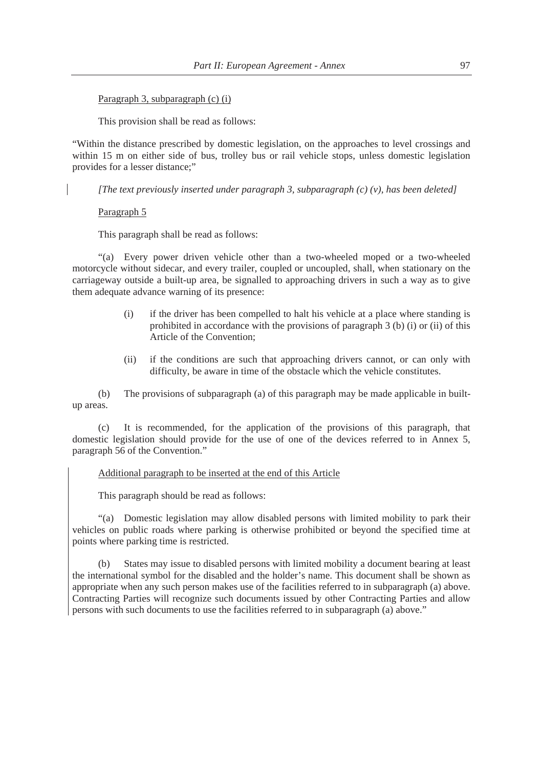#### Paragraph 3, subparagraph (c) (i)

This provision shall be read as follows:

"Within the distance prescribed by domestic legislation, on the approaches to level crossings and within 15 m on either side of bus, trolley bus or rail vehicle stops, unless domestic legislation provides for a lesser distance;"

 *[The text previously inserted under paragraph 3, subparagraph (c) (v), has been deleted]* 

Paragraph 5

This paragraph shall be read as follows:

"(a) Every power driven vehicle other than a two-wheeled moped or a two-wheeled motorcycle without sidecar, and every trailer, coupled or uncoupled, shall, when stationary on the carriageway outside a built-up area, be signalled to approaching drivers in such a way as to give them adequate advance warning of its presence:

- (i) if the driver has been compelled to halt his vehicle at a place where standing is prohibited in accordance with the provisions of paragraph 3 (b) (i) or (ii) of this Article of the Convention;
- (ii) if the conditions are such that approaching drivers cannot, or can only with difficulty, be aware in time of the obstacle which the vehicle constitutes.

 (b) The provisions of subparagraph (a) of this paragraph may be made applicable in builtup areas.

 (c) It is recommended, for the application of the provisions of this paragraph, that domestic legislation should provide for the use of one of the devices referred to in Annex 5, paragraph 56 of the Convention."

# Additional paragraph to be inserted at the end of this Article

This paragraph should be read as follows:

"(a) Domestic legislation may allow disabled persons with limited mobility to park their vehicles on public roads where parking is otherwise prohibited or beyond the specified time at points where parking time is restricted.

 (b) States may issue to disabled persons with limited mobility a document bearing at least the international symbol for the disabled and the holder's name. This document shall be shown as appropriate when any such person makes use of the facilities referred to in subparagraph (a) above. Contracting Parties will recognize such documents issued by other Contracting Parties and allow persons with such documents to use the facilities referred to in subparagraph (a) above."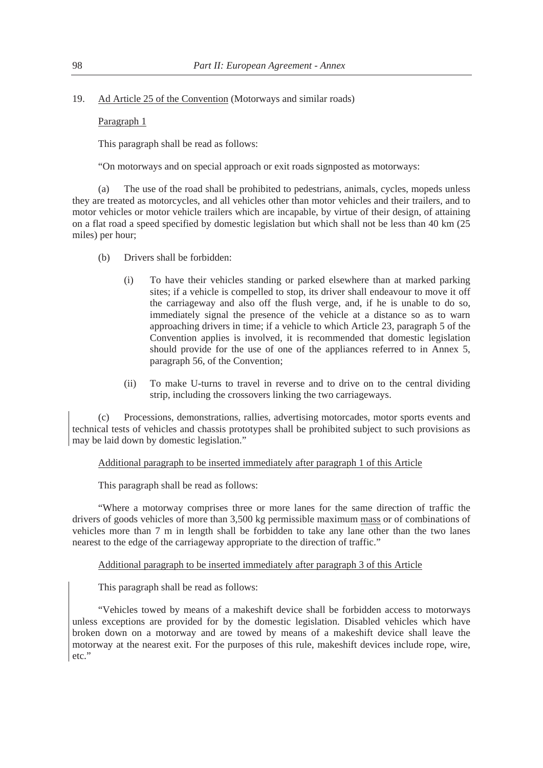19. Ad Article 25 of the Convention (Motorways and similar roads)

Paragraph 1

This paragraph shall be read as follows:

"On motorways and on special approach or exit roads signposted as motorways:

(a) The use of the road shall be prohibited to pedestrians, animals, cycles, mopeds unless they are treated as motorcycles, and all vehicles other than motor vehicles and their trailers, and to motor vehicles or motor vehicle trailers which are incapable, by virtue of their design, of attaining on a flat road a speed specified by domestic legislation but which shall not be less than 40 km (25 miles) per hour;

- (b) Drivers shall be forbidden:
	- (i) To have their vehicles standing or parked elsewhere than at marked parking sites; if a vehicle is compelled to stop, its driver shall endeavour to move it off the carriageway and also off the flush verge, and, if he is unable to do so, immediately signal the presence of the vehicle at a distance so as to warn approaching drivers in time; if a vehicle to which Article 23, paragraph 5 of the Convention applies is involved, it is recommended that domestic legislation should provide for the use of one of the appliances referred to in Annex 5, paragraph 56, of the Convention;
	- (ii) To make U-turns to travel in reverse and to drive on to the central dividing strip, including the crossovers linking the two carriageways.

 (c) Processions, demonstrations, rallies, advertising motorcades, motor sports events and technical tests of vehicles and chassis prototypes shall be prohibited subject to such provisions as may be laid down by domestic legislation."

#### Additional paragraph to be inserted immediately after paragraph 1 of this Article

This paragraph shall be read as follows:

 "Where a motorway comprises three or more lanes for the same direction of traffic the drivers of goods vehicles of more than 3,500 kg permissible maximum mass or of combinations of vehicles more than 7 m in length shall be forbidden to take any lane other than the two lanes nearest to the edge of the carriageway appropriate to the direction of traffic."

Additional paragraph to be inserted immediately after paragraph 3 of this Article

This paragraph shall be read as follows:

 "Vehicles towed by means of a makeshift device shall be forbidden access to motorways unless exceptions are provided for by the domestic legislation. Disabled vehicles which have broken down on a motorway and are towed by means of a makeshift device shall leave the motorway at the nearest exit. For the purposes of this rule, makeshift devices include rope, wire, etc."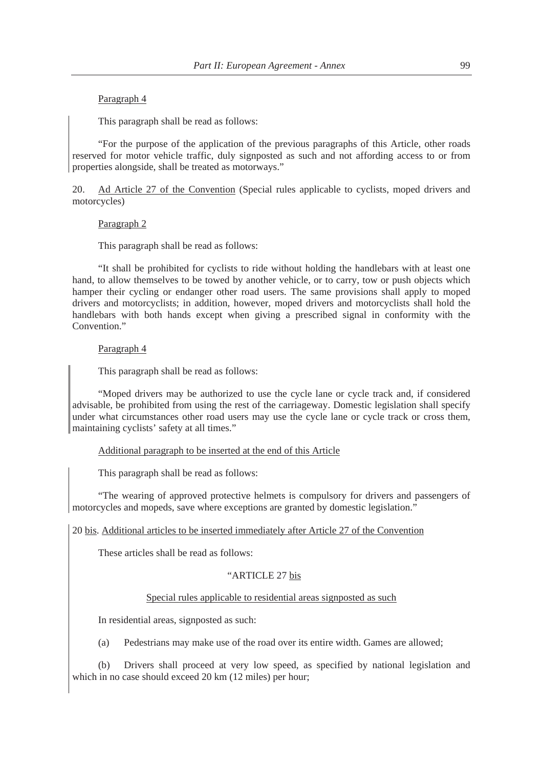# Paragraph 4

This paragraph shall be read as follows:

 "For the purpose of the application of the previous paragraphs of this Article, other roads reserved for motor vehicle traffic, duly signposted as such and not affording access to or from properties alongside, shall be treated as motorways."

20. Ad Article 27 of the Convention (Special rules applicable to cyclists, moped drivers and motorcycles)

# Paragraph 2

This paragraph shall be read as follows:

 "It shall be prohibited for cyclists to ride without holding the handlebars with at least one hand, to allow themselves to be towed by another vehicle, or to carry, tow or push objects which hamper their cycling or endanger other road users. The same provisions shall apply to moped drivers and motorcyclists; in addition, however, moped drivers and motorcyclists shall hold the handlebars with both hands except when giving a prescribed signal in conformity with the Convention<sup>"</sup>

#### Paragraph 4

This paragraph shall be read as follows:

"Moped drivers may be authorized to use the cycle lane or cycle track and, if considered advisable, be prohibited from using the rest of the carriageway. Domestic legislation shall specify under what circumstances other road users may use the cycle lane or cycle track or cross them, maintaining cyclists' safety at all times."

Additional paragraph to be inserted at the end of this Article

This paragraph shall be read as follows:

 "The wearing of approved protective helmets is compulsory for drivers and passengers of motorcycles and mopeds, save where exceptions are granted by domestic legislation."

# 20 bis. Additional articles to be inserted immediately after Article 27 of the Convention

These articles shall be read as follows:

# "ARTICLE 27 bis

# Special rules applicable to residential areas signposted as such

In residential areas, signposted as such:

(a) Pedestrians may make use of the road over its entire width. Games are allowed;

 (b) Drivers shall proceed at very low speed, as specified by national legislation and which in no case should exceed 20 km (12 miles) per hour;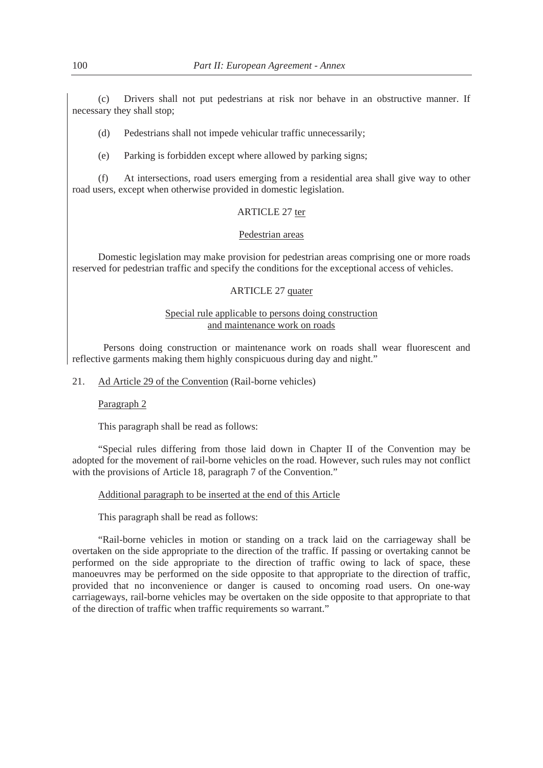(c) Drivers shall not put pedestrians at risk nor behave in an obstructive manner. If necessary they shall stop;

(d) Pedestrians shall not impede vehicular traffic unnecessarily;

(e) Parking is forbidden except where allowed by parking signs;

 (f) At intersections, road users emerging from a residential area shall give way to other road users, except when otherwise provided in domestic legislation.

#### ARTICLE 27 ter

# Pedestrian areas

 Domestic legislation may make provision for pedestrian areas comprising one or more roads reserved for pedestrian traffic and specify the conditions for the exceptional access of vehicles.

#### ARTICLE 27 quater

# Special rule applicable to persons doing construction and maintenance work on roads

Persons doing construction or maintenance work on roads shall wear fluorescent and reflective garments making them highly conspicuous during day and night."

21. Ad Article 29 of the Convention (Rail-borne vehicles)

Paragraph 2

This paragraph shall be read as follows:

 "Special rules differing from those laid down in Chapter II of the Convention may be adopted for the movement of rail-borne vehicles on the road. However, such rules may not conflict with the provisions of Article 18, paragraph 7 of the Convention."

# Additional paragraph to be inserted at the end of this Article

This paragraph shall be read as follows:

"Rail-borne vehicles in motion or standing on a track laid on the carriageway shall be overtaken on the side appropriate to the direction of the traffic. If passing or overtaking cannot be performed on the side appropriate to the direction of traffic owing to lack of space, these manoeuvres may be performed on the side opposite to that appropriate to the direction of traffic, provided that no inconvenience or danger is caused to oncoming road users. On one-way carriageways, rail-borne vehicles may be overtaken on the side opposite to that appropriate to that of the direction of traffic when traffic requirements so warrant."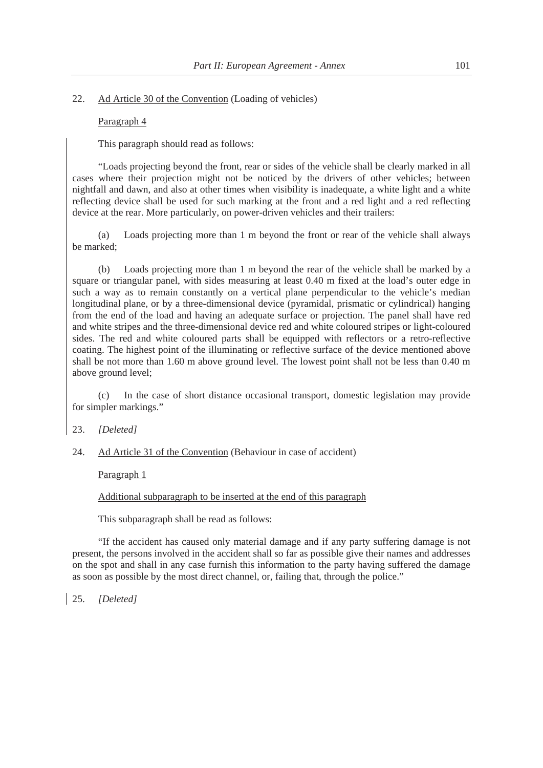# 22. Ad Article 30 of the Convention (Loading of vehicles)

#### Paragraph 4

This paragraph should read as follows:

 "Loads projecting beyond the front, rear or sides of the vehicle shall be clearly marked in all cases where their projection might not be noticed by the drivers of other vehicles; between nightfall and dawn, and also at other times when visibility is inadequate, a white light and a white reflecting device shall be used for such marking at the front and a red light and a red reflecting device at the rear. More particularly, on power-driven vehicles and their trailers:

(a) Loads projecting more than 1 m beyond the front or rear of the vehicle shall always be marked;

(b) Loads projecting more than 1 m beyond the rear of the vehicle shall be marked by a square or triangular panel, with sides measuring at least 0.40 m fixed at the load's outer edge in such a way as to remain constantly on a vertical plane perpendicular to the vehicle's median longitudinal plane, or by a three-dimensional device (pyramidal, prismatic or cylindrical) hanging from the end of the load and having an adequate surface or projection. The panel shall have red and white stripes and the three-dimensional device red and white coloured stripes or light-coloured sides. The red and white coloured parts shall be equipped with reflectors or a retro-reflective coating. The highest point of the illuminating or reflective surface of the device mentioned above shall be not more than 1.60 m above ground level. The lowest point shall not be less than 0.40 m above ground level;

(c) In the case of short distance occasional transport, domestic legislation may provide for simpler markings."

#### 23. *[Deleted]*

24. Ad Article 31 of the Convention (Behaviour in case of accident)

Paragraph 1

# Additional subparagraph to be inserted at the end of this paragraph

This subparagraph shall be read as follows:

 "If the accident has caused only material damage and if any party suffering damage is not present, the persons involved in the accident shall so far as possible give their names and addresses on the spot and shall in any case furnish this information to the party having suffered the damage as soon as possible by the most direct channel, or, failing that, through the police."

25. *[Deleted]*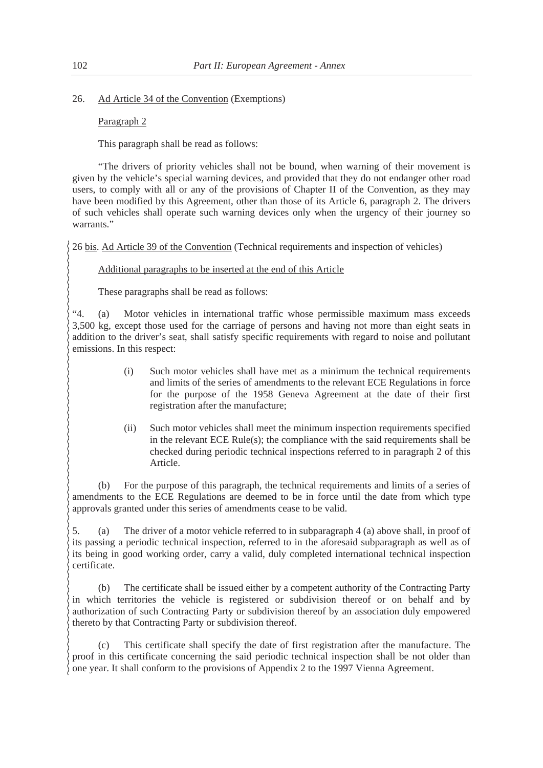26. Ad Article 34 of the Convention (Exemptions)

Paragraph 2

This paragraph shall be read as follows:

 "The drivers of priority vehicles shall not be bound, when warning of their movement is given by the vehicle's special warning devices, and provided that they do not endanger other road users, to comply with all or any of the provisions of Chapter II of the Convention, as they may have been modified by this Agreement, other than those of its Article 6, paragraph 2. The drivers of such vehicles shall operate such warning devices only when the urgency of their journey so warrants."

26 bis. Ad Article 39 of the Convention (Technical requirements and inspection of vehicles)

Additional paragraphs to be inserted at the end of this Article

These paragraphs shall be read as follows:

"4. (a) Motor vehicles in international traffic whose permissible maximum mass exceeds 3,500 kg, except those used for the carriage of persons and having not more than eight seats in addition to the driver's seat, shall satisfy specific requirements with regard to noise and pollutant emissions. In this respect:

- (i) Such motor vehicles shall have met as a minimum the technical requirements and limits of the series of amendments to the relevant ECE Regulations in force for the purpose of the 1958 Geneva Agreement at the date of their first registration after the manufacture;
- (ii) Such motor vehicles shall meet the minimum inspection requirements specified in the relevant ECE Rule(s); the compliance with the said requirements shall be checked during periodic technical inspections referred to in paragraph 2 of this Article.

 (b) For the purpose of this paragraph, the technical requirements and limits of a series of amendments to the ECE Regulations are deemed to be in force until the date from which type approvals granted under this series of amendments cease to be valid.

5. (a) The driver of a motor vehicle referred to in subparagraph 4 (a) above shall, in proof of its passing a periodic technical inspection, referred to in the aforesaid subparagraph as well as of its being in good working order, carry a valid, duly completed international technical inspection certificate.

(b) The certificate shall be issued either by a competent authority of the Contracting Party in which territories the vehicle is registered or subdivision thereof or on behalf and by authorization of such Contracting Party or subdivision thereof by an association duly empowered thereto by that Contracting Party or subdivision thereof.

(c) This certificate shall specify the date of first registration after the manufacture. The proof in this certificate concerning the said periodic technical inspection shall be not older than one year. It shall conform to the provisions of Appendix 2 to the 1997 Vienna Agreement.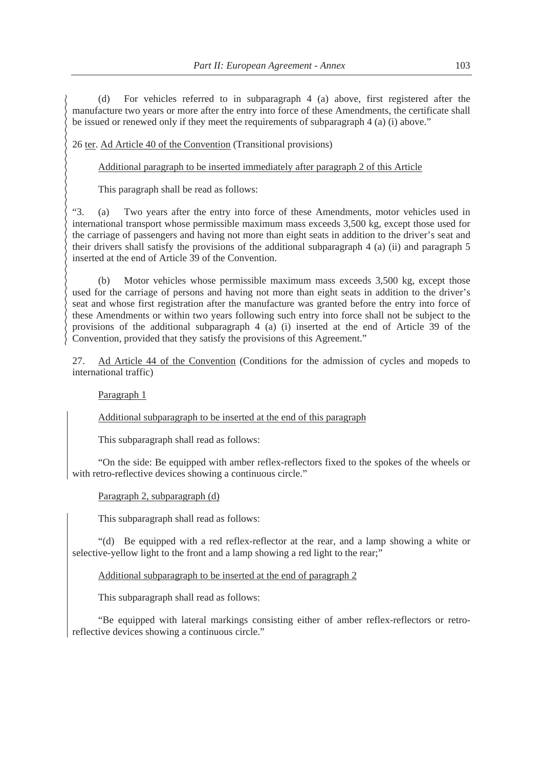(d) For vehicles referred to in subparagraph 4 (a) above, first registered after the manufacture two years or more after the entry into force of these Amendments, the certificate shall be issued or renewed only if they meet the requirements of subparagraph 4 (a) (i) above."

26 ter. Ad Article 40 of the Convention (Transitional provisions)

Additional paragraph to be inserted immediately after paragraph 2 of this Article

This paragraph shall be read as follows:

"3. (a) Two years after the entry into force of these Amendments, motor vehicles used in international transport whose permissible maximum mass exceeds 3,500 kg, except those used for the carriage of passengers and having not more than eight seats in addition to the driver's seat and their drivers shall satisfy the provisions of the additional subparagraph 4 (a) (ii) and paragraph 5 inserted at the end of Article 39 of the Convention.

 (b) Motor vehicles whose permissible maximum mass exceeds 3,500 kg, except those used for the carriage of persons and having not more than eight seats in addition to the driver's seat and whose first registration after the manufacture was granted before the entry into force of these Amendments or within two years following such entry into force shall not be subject to the provisions of the additional subparagraph 4 (a) (i) inserted at the end of Article 39 of the Convention, provided that they satisfy the provisions of this Agreement."

27. Ad Article 44 of the Convention (Conditions for the admission of cycles and mopeds to international traffic)

Paragraph 1

Additional subparagraph to be inserted at the end of this paragraph

This subparagraph shall read as follows:

 "On the side: Be equipped with amber reflex-reflectors fixed to the spokes of the wheels or with retro-reflective devices showing a continuous circle."

Paragraph 2, subparagraph (d)

This subparagraph shall read as follows:

 "(d) Be equipped with a red reflex-reflector at the rear, and a lamp showing a white or selective-yellow light to the front and a lamp showing a red light to the rear;"

Additional subparagraph to be inserted at the end of paragraph 2

This subparagraph shall read as follows:

"Be equipped with lateral markings consisting either of amber reflex-reflectors or retroreflective devices showing a continuous circle."